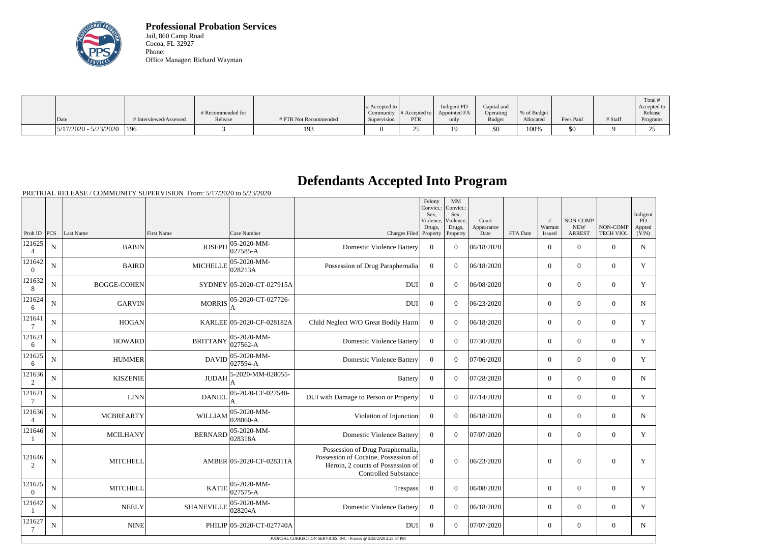

**Professional Probation Services** Jail, 860 Camp Road Cocoa, FL 32927 Phone: Office Manager: Richard Wayman

|                               |                        |                   |                       |                  |                                 | Indigent PD  |                          |             |           |         | Total i                  |
|-------------------------------|------------------------|-------------------|-----------------------|------------------|---------------------------------|--------------|--------------------------|-------------|-----------|---------|--------------------------|
|                               |                        | # Recommended for |                       | $\#$ Accepted to | Community $\#$ Accepted to $\ $ | Appointed FA | Capital and<br>Operating | % of Budget |           |         | Accepted to 1<br>Release |
| $\vert$ Date                  | # Interviewed/Assessed | Release           | # PTR Not Recommended | Supervision      | <b>PTR</b>                      | only         | <b>Budget</b>            | Allocated   | Fees Paid | # Staff | Programs                 |
| $ 5/17/2020 - 5/23/2020 $ 196 |                        |                   | 193                   |                  | --                              | 19           | \$0                      | 100%        | \$0       |         | $\cap \subset$<br>ر_ر    |

## **Defendants Accepted Into Program**

PRETRIAL RELEASE / COMMUNITY SUPERVISION From: 5/17/2020 to 5/23/2020

|                           |                |                    |                   |                           |                                                                                                                                               | Felony<br>Convict.:<br>Sex.<br>Violence, | MM<br>Convict.:<br>Sex.<br>Violence, | Court              |          | #                 | NON-COMP                    |                              | Indigent<br>PD  |
|---------------------------|----------------|--------------------|-------------------|---------------------------|-----------------------------------------------------------------------------------------------------------------------------------------------|------------------------------------------|--------------------------------------|--------------------|----------|-------------------|-----------------------------|------------------------------|-----------------|
| Prob ID $ PCS $           |                | Last Name          | <b>First Name</b> | Case Number               | Charges Filed Property                                                                                                                        | Drugs,                                   | Drugs,<br>Property                   | Appearance<br>Date | FTA Date | Warrant<br>Issued | <b>NEW</b><br><b>ARREST</b> | NON-COMP<br><b>TECH VIOL</b> | Appted<br>(Y/N) |
| 121625<br>$\overline{4}$  | N              | <b>BABIN</b>       | <b>JOSEPH</b>     | 05-2020-MM-<br>027585-A   | <b>Domestic Violence Battery</b>                                                                                                              | $\overline{0}$                           | $\Omega$                             | 06/18/2020         |          | $\overline{0}$    | $\mathbf{0}$                | $\overline{0}$               | $\mathbf N$     |
| 121642<br>$\overline{0}$  | N              | <b>BAIRD</b>       | <b>MICHELLE</b>   | 05-2020-MM-<br>028213A    | Possession of Drug Paraphernalia                                                                                                              | $\overline{0}$                           | $\Omega$                             | 06/18/2020         |          | $\overline{0}$    | $\theta$                    | $\overline{0}$               | Y               |
| 121632<br>8               | $\mathbf N$    | <b>BOGGE-COHEN</b> |                   | SYDNEY 05-2020-CT-027915A | <b>DUI</b>                                                                                                                                    | $\mathbf{0}$                             | $\Omega$                             | 06/08/2020         |          | $\overline{0}$    | $\mathbf{0}$                | $\overline{0}$               | Y               |
| 121624<br>6               | N              | <b>GARVIN</b>      | <b>MORRIS</b>     | 05-2020-CT-027726-<br>А   | <b>DUI</b>                                                                                                                                    | $\boldsymbol{0}$                         | $\Omega$                             | 06/23/2020         |          | $\overline{0}$    | $\overline{0}$              | $\overline{0}$               | N               |
| 121641<br>$7\phantom{.0}$ | $\mathbf N$    | <b>HOGAN</b>       |                   | KARLEE 05-2020-CF-028182A | Child Neglect W/O Great Bodily Harm                                                                                                           | $\overline{0}$                           | $\overline{0}$                       | 06/18/2020         |          | $\overline{0}$    | $\mathbf{0}$                | $\overline{0}$               | Y               |
| 121621<br>6               | $\mathbf N$    | <b>HOWARD</b>      | <b>BRITTANY</b>   | 05-2020-MM-<br>027562-A   | <b>Domestic Violence Battery</b>                                                                                                              | $\boldsymbol{0}$                         | $\Omega$                             | 07/30/2020         |          | $\overline{0}$    | $\theta$                    | $\overline{0}$               | Y               |
| 121625<br>6               | N              | <b>HUMMER</b>      | DAVID             | 05-2020-MM-<br>027594-A   | <b>Domestic Violence Battery</b>                                                                                                              | $\overline{0}$                           | $\Omega$                             | 07/06/2020         |          | $\overline{0}$    | $\theta$                    | $\Omega$                     | Y               |
| 121636<br>2               | N              | <b>KISZENIE</b>    | <b>JUDAH</b>      | 5-2020-MM-028055-         | <b>Battery</b>                                                                                                                                | $\boldsymbol{0}$                         | $\Omega$                             | 07/28/2020         |          | $\overline{0}$    | $\mathbf{0}$                | $\overline{0}$               | N               |
| 121621<br>$\overline{7}$  | N              | <b>LINN</b>        | <b>DANIEL</b>     | 05-2020-CF-027540-        | DUI with Damage to Person or Property                                                                                                         | $\boldsymbol{0}$                         | $\Omega$                             | 07/14/2020         |          | $\overline{0}$    | $\overline{0}$              | $\overline{0}$               | Y               |
| 121636<br>$\overline{A}$  | N              | <b>MCBREARTY</b>   | <b>WILLIAM</b>    | 05-2020-MM-<br>028060-A   | Violation of Injunction                                                                                                                       | $\overline{0}$                           | $\Omega$                             | 06/18/2020         |          | $\overline{0}$    | $\theta$                    | $\overline{0}$               | N               |
| 121646                    | N              | <b>MCILHANY</b>    | <b>BERNARD</b>    | 05-2020-MM-<br>028318A    | <b>Domestic Violence Battery</b>                                                                                                              | $\overline{0}$                           | $\Omega$                             | 07/07/2020         |          | $\overline{0}$    | $\overline{0}$              | $\overline{0}$               | Y               |
| 121646<br>2               | $\overline{N}$ | <b>MITCHELL</b>    |                   | AMBER 05-2020-CF-028311A  | Possession of Drug Paraphernalia,<br>Possession of Cocaine, Possession of<br>Heroin, 2 counts of Possession of<br><b>Controlled Substance</b> | $\overline{0}$                           | $\mathbf{0}$                         | 06/23/2020         |          | $\mathbf{0}$      | $\boldsymbol{0}$            | $\mathbf{0}$                 | Y               |
| 121625<br>$\overline{0}$  | $\mathbf N$    | <b>MITCHELL</b>    | <b>KATIE</b>      | 05-2020-MM-<br>027575-A   | Trespass                                                                                                                                      | $\boldsymbol{0}$                         | $\Omega$                             | 06/08/2020         |          | $\overline{0}$    | $\overline{0}$              | $\overline{0}$               | Y               |
| 121642                    | N              | <b>NEELY</b>       | <b>SHANEVILLE</b> | 05-2020-MM-<br>028204A    | <b>Domestic Violence Battery</b>                                                                                                              | $\boldsymbol{0}$                         | $\Omega$                             | 06/18/2020         |          | $\overline{0}$    | $\mathbf{0}$                | $\overline{0}$               | Y               |
| 121627<br>7               | N              | <b>NINE</b>        |                   | PHILIP 05-2020-CT-027740A | <b>DUI</b>                                                                                                                                    | $\boldsymbol{0}$                         | $\Omega$                             | 07/07/2020         |          | $\overline{0}$    | $\overline{0}$              | $\overline{0}$               | N               |
|                           |                |                    |                   |                           | JUDICIAL CORRECTION SERVICES, INC - Printed @ 5/28/2020 2:25:57 PM                                                                            |                                          |                                      |                    |          |                   |                             |                              |                 |